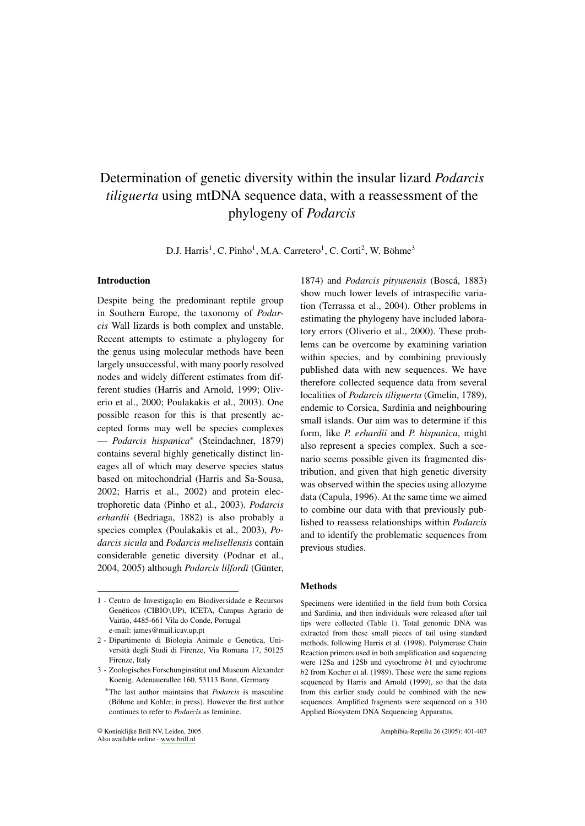# Determination of genetic diversity within the insular lizard *Podarcis tiliguerta* using mtDNA sequence data, with a reassessment of the phylogeny of *Podarcis*

D.J. Harris<sup>1</sup>, C. Pinho<sup>1</sup>, M.A. Carretero<sup>1</sup>, C. Corti<sup>2</sup>, W. Böhme<sup>3</sup>

### **Introduction**

Despite being the predominant reptile group in Southern Europe, the taxonomy of *Podar*cis Wall lizards is both complex and unstable. Recent attempts to estimate a phylogeny for the genus using molecular methods have been largely unsuccessful, with many poorly resolved nodes and widely different estimates from different studies (Harris and Arnold, 1999; Oliverio et al., 2000; Poulakakis et al., 2003). One possible reason for this is that presently accepted forms may well be species complexes - Podarcis hispanica\* (Steindachner, 1879) contains several highly genetically distinct lineages all of which may deserve species status based on mitochondrial (Harris and Sa-Sousa, 2002; Harris et al., 2002) and protein electrophoretic data (Pinho et al., 2003). Podarcis erhardii (Bedriaga, 1882) is also probably a species complex (Poulakakis et al., 2003), Podarcis sicula and Podarcis melisellensis contain considerable genetic diversity (Podnar et al., 2004, 2005) although Podarcis lilfordi (Günter,

1874) and *Podarcis pityusensis* (Boscá, 1883) show much lower levels of intraspecific variation (Terrassa et al., 2004). Other problems in estimating the phylogeny have included laboratory errors (Oliverio et al., 2000). These problems can be overcome by examining variation within species, and by combining previously published data with new sequences. We have therefore collected sequence data from several localities of *Podarcis tiliguerta* (Gmelin, 1789), endemic to Corsica, Sardinia and neighbouring small islands. Our aim was to determine if this form, like P. erhardii and P. hispanica, might also represent a species complex. Such a scenario seems possible given its fragmented distribution, and given that high genetic diversity was observed within the species using allozyme data (Capula, 1996). At the same time we aimed to combine our data with that previously published to reassess relationships within *Podarcis* and to identify the problematic sequences from previous studies.

## **Methods**

Specimens were identified in the field from both Corsica and Sardinia, and then individuals were released after tail tips were collected (Table 1). Total genomic DNA was extracted from these small pieces of tail using standard methods, following Harris et al. (1998). Polymerase Chain Reaction primers used in both amplification and sequencing were 12Sa and 12Sb and cytochrome b1 and cytochrome  $b2$  from Kocher et al. (1989). These were the same regions sequenced by Harris and Arnold (1999), so that the data from this earlier study could be combined with the new sequences. Amplified fragments were sequenced on a 310 Applied Biosystem DNA Sequencing Apparatus.

<sup>1 -</sup> Centro de Investigação em Biodiversidade e Recursos Genéticos (CIBIO\UP), ICETA, Campus Agrario de Vairão, 4485-661 Vila do Conde, Portugal e-mail: james@mail.icav.up.pt

<sup>2 -</sup> Dipartimento di Biologia Animale e Genetica, Università degli Studi di Firenze, Via Romana 17, 50125 Firenze, Italy

<sup>3 -</sup> Zoologisches Forschunginstitut und Museum Alexander Koenig. Adenauerallee 160, 53113 Bonn, Germany

<sup>\*</sup>The last author maintains that *Podarcis* is masculine (Böhme and Kohler, in press). However the first author continues to refer to Podarcis as feminine.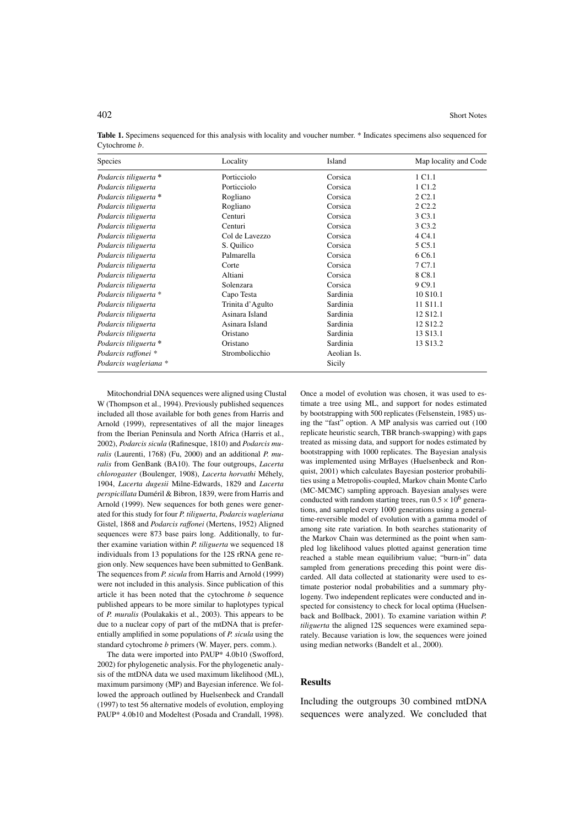| Species               | Locality         | Island      | Map locality and Code |
|-----------------------|------------------|-------------|-----------------------|
| Podarcis tiliguerta * | Porticciolo      | Corsica     | 1 C <sub>1.1</sub>    |
| Podarcis tiliguerta   | Porticciolo      | Corsica     | 1 C <sub>1.2</sub>    |
| Podarcis tiliguerta * | Rogliano         | Corsica     | 2 C <sub>2.1</sub>    |
| Podarcis tiliguerta   | Rogliano         | Corsica     | 2 C <sub>2.2</sub>    |
| Podarcis tiliguerta   | Centuri          | Corsica     | 3 C <sub>3</sub> .1   |
| Podarcis tiliguerta   | Centuri          | Corsica     | 3 C <sub>3.2</sub>    |
| Podarcis tiliguerta   | Col de Lavezzo   | Corsica     | 4 C <sub>4.1</sub>    |
| Podarcis tiliguerta   | S. Quilico       | Corsica     | 5 C <sub>5.1</sub>    |
| Podarcis tiliguerta   | Palmarella       | Corsica     | 6 C <sub>6.1</sub>    |
| Podarcis tiliguerta   | Corte            | Corsica     | 7 C7.1                |
| Podarcis tiliguerta   | Altiani          | Corsica     | 8 C <sub>8.1</sub>    |
| Podarcis tiliguerta   | Solenzara        | Corsica     | 9 C <sub>9.1</sub>    |
| Podarcis tiliguerta * | Capo Testa       | Sardinia    | 10 S <sub>10.1</sub>  |
| Podarcis tiliguerta   | Trinita d'Agulto | Sardinia    | 11 S <sub>11.1</sub>  |
| Podarcis tiliguerta   | Asinara Island   | Sardinia    | 12 S <sub>12.1</sub>  |
| Podarcis tiliguerta   | Asinara Island   | Sardinia    | 12 S <sub>12.2</sub>  |
| Podarcis tiliguerta   | Oristano         | Sardinia    | 13 S <sub>13.1</sub>  |
| Podarcis tiliguerta * | Oristano         | Sardinia    | 13 S13.2              |
| Podarcis raffonei *   | Strombolicchio   | Aeolian Is. |                       |
| Podarcis wagleriana * |                  | Sicily      |                       |

Table 1. Specimens sequenced for this analysis with locality and voucher number. \* Indicates specimens also sequenced for Cytochrome b.

Mitochondrial DNA sequences were aligned using Clustal W (Thompson et al., 1994). Previously published sequences included all those available for both genes from Harris and Arnold (1999), representatives of all the major lineages from the Iberian Peninsula and North Africa (Harris et al., 2002), Podarcis sicula (Rafinesque, 1810) and Podarcis muralis (Laurenti, 1768) (Fu, 2000) and an additional P. muralis from GenBank (BA10). The four outgroups, Lacerta chlorogaster (Boulenger, 1908), Lacerta horvathi Méhely, 1904, Lacerta dugesii Milne-Edwards, 1829 and Lacerta perspicillata Duméril & Bibron, 1839, were from Harris and Arnold (1999). New sequences for both genes were generated for this study for four P. tiliguerta, Podarcis wagleriana Gistel, 1868 and Podarcis raffonei (Mertens, 1952) Aligned sequences were 873 base pairs long. Additionally, to further examine variation within P. tiliguerta we sequenced 18 individuals from 13 populations for the 12S rRNA gene region only. New sequences have been submitted to GenBank. The sequences from *P. sicula* from Harris and Arnold (1999) were not included in this analysis. Since publication of this article it has been noted that the cytochrome  $b$  sequence published appears to be more similar to haplotypes typical of P. muralis (Poulakakis et al., 2003). This appears to be due to a nuclear copy of part of the mtDNA that is preferentially amplified in some populations of *P. sicula* using the standard cytochrome b primers (W. Mayer, pers. comm.).

The data were imported into PAUP\* 4.0b10 (Swofford, 2002) for phylogenetic analysis. For the phylogenetic analysis of the mtDNA data we used maximum likelihood (ML), maximum parsimony (MP) and Bayesian inference. We followed the approach outlined by Huelsenbeck and Crandall (1997) to test 56 alternative models of evolution, employing PAUP\* 4.0b10 and Modeltest (Posada and Crandall, 1998).

Once a model of evolution was chosen, it was used to estimate a tree using ML, and support for nodes estimated by bootstrapping with 500 replicates (Felsenstein, 1985) using the "fast" option. A MP analysis was carried out (100 replicate heuristic search, TBR branch-swapping) with gaps treated as missing data, and support for nodes estimated by bootstrapping with 1000 replicates. The Bayesian analysis was implemented using MrBayes (Huelsenbeck and Ronquist, 2001) which calculates Bayesian posterior probabilities using a Metropolis-coupled, Markov chain Monte Carlo (MC-MCMC) sampling approach. Bayesian analyses were conducted with random starting trees, run  $0.5 \times 10^6$  generations, and sampled every 1000 generations using a generaltime-reversible model of evolution with a gamma model of among site rate variation. In both searches stationarity of the Markov Chain was determined as the point when sampled log likelihood values plotted against generation time reached a stable mean equilibrium value; "burn-in" data sampled from generations preceding this point were discarded. All data collected at stationarity were used to estimate posterior nodal probabilities and a summary phylogeny. Two independent replicates were conducted and inspected for consistency to check for local optima (Huelsenback and Bollback, 2001). To examine variation within P. tiliguerta the aligned 12S sequences were examined separately. Because variation is low, the sequences were joined using median networks (Bandelt et al., 2000).

#### **Results**

Including the outgroups 30 combined mtDNA sequences were analyzed. We concluded that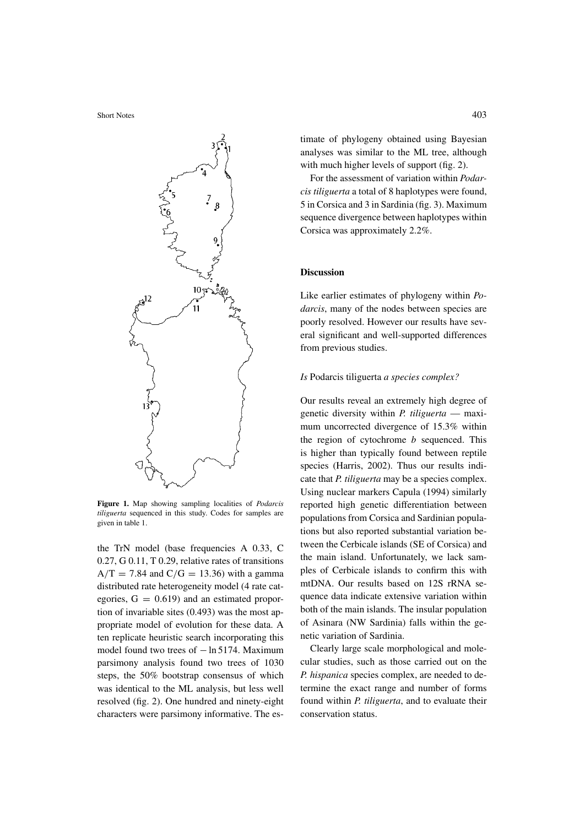

Figure 1. Map showing sampling localities of *Podarcis* tiliguerta sequenced in this study. Codes for samples are given in table 1.

the TrN model (base frequencies A 0.33, C  $0.27$ , G  $0.11$ , T  $0.29$ , relative rates of transitions  $A/T = 7.84$  and  $C/G = 13.36$ ) with a gamma distributed rate heterogeneity model (4 rate categories,  $G = 0.619$  and an estimated proportion of invariable sites (0.493) was the most appropriate model of evolution for these data. A ten replicate heuristic search incorporating this model found two trees of  $-$  ln 5174. Maximum parsimony analysis found two trees of 1030 steps, the 50% bootstrap consensus of which was identical to the ML analysis, but less well resolved (fig. 2). One hundred and ninety-eight characters were parsimony informative. The es-

For the assessment of variation within *Podar*cis tiliguerta a total of 8 haplotypes were found, 5 in Corsica and 3 in Sardinia (fig. 3). Maximum sequence divergence between haplotypes within Corsica was approximately 2.2%.

## **Discussion**

Like earlier estimates of phylogeny within Po*darcis*, many of the nodes between species are poorly resolved. However our results have several significant and well-supported differences from previous studies.

# Is Podarcis tiliguerta a species complex?

Our results reveal an extremely high degree of genetic diversity within  $P$ . tiliguerta — maximum uncorrected divergence of 15.3% within the region of cytochrome  $b$  sequenced. This is higher than typically found between reptile species (Harris, 2002). Thus our results indicate that *P. tiliguerta* may be a species complex. Using nuclear markers Capula (1994) similarly reported high genetic differentiation between populations from Corsica and Sardinian populations but also reported substantial variation between the Cerbicale islands (SE of Corsica) and the main island. Unfortunately, we lack samples of Cerbicale islands to confirm this with mtDNA. Our results based on 12S rRNA sequence data indicate extensive variation within both of the main islands. The insular population of Asinara (NW Sardinia) falls within the genetic variation of Sardinia.

Clearly large scale morphological and molecular studies, such as those carried out on the P. hispanica species complex, are needed to determine the exact range and number of forms found within P. tiliguerta, and to evaluate their conservation status.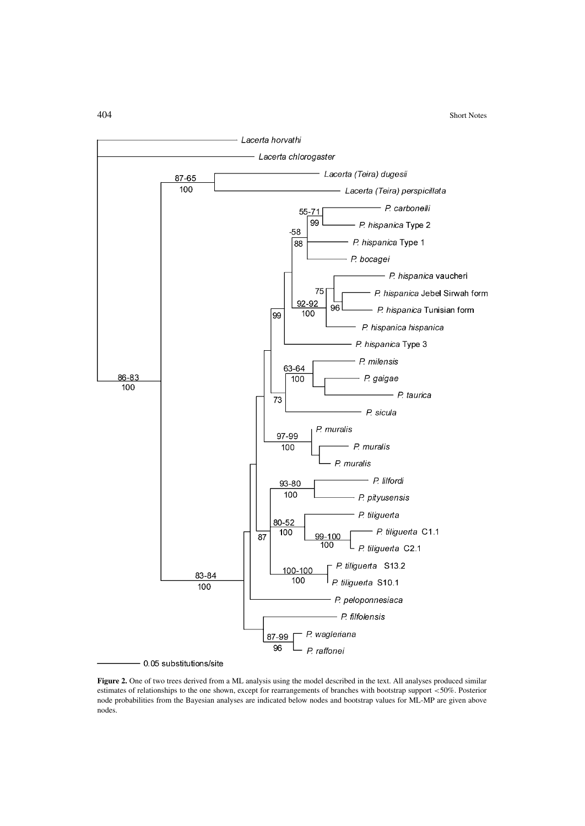

Figure 2. One of two trees derived from a ML analysis using the model described in the text. All analyses produced similar estimates of relationships to the one shown, except for rearrangements of branches with bootstrap support  $<$ 50%. Posterior node probabilities from the Bayesian analyses are indicated below nodes and bootstrap values for ML-MP are given above nodes.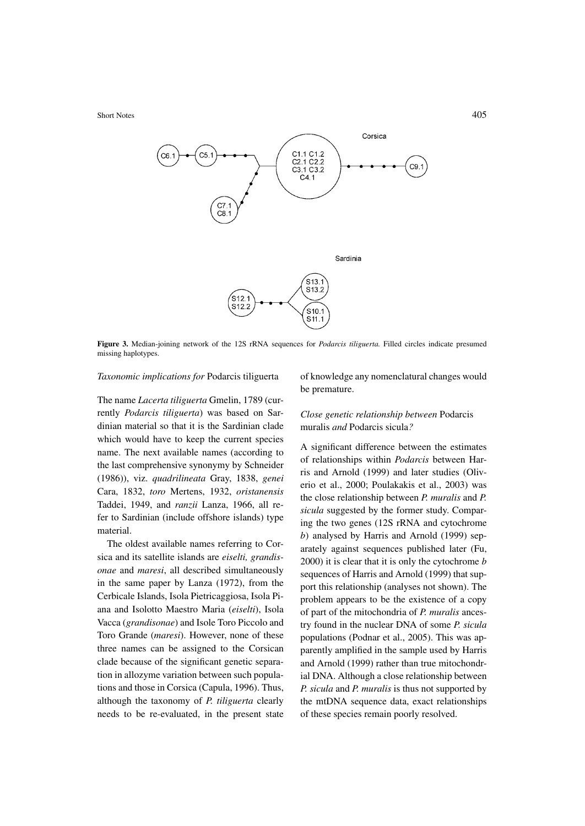

Figure 3. Median-joining network of the 12S rRNA sequences for *Podarcis tiliguerta*. Filled circles indicate presumed missing haplotypes.

#### Taxonomic implications for Podarcis tiliguerta

The name Lacerta tiliguerta Gmelin, 1789 (currently Podarcis tiliguerta) was based on Sardinian material so that it is the Sardinian clade which would have to keep the current species name. The next available names (according to the last comprehensive synonymy by Schneider (1986)), viz. quadrilineata Gray, 1838, genei Cara, 1832, toro Mertens, 1932, oristanensis Taddei, 1949, and ranzii Lanza, 1966, all refer to Sardinian (include offshore islands) type material.

The oldest available names referring to Corsica and its satellite islands are *eiselti*, *grandis*onae and maresi, all described simultaneously in the same paper by Lanza (1972), from the Cerbicale Islands, Isola Pietricaggiosa, Isola Piana and Isolotto Maestro Maria (eiselti), Isola Vacca (grandisonae) and Isole Toro Piccolo and Toro Grande (maresi). However, none of these three names can be assigned to the Corsican clade because of the significant genetic separation in allozyme variation between such populations and those in Corsica (Capula, 1996). Thus, although the taxonomy of P. tiliguerta clearly needs to be re-evaluated, in the present state

of knowledge any nomenclatural changes would be premature.

# Close genetic relationship between Podarcis muralis *and* Podarcis sicula?

A significant difference between the estimates of relationships within Podarcis between Harris and Arnold (1999) and later studies (Oliverio et al., 2000: Poulakakis et al., 2003) was the close relationship between P. muralis and P. sicula suggested by the former study. Comparing the two genes (12S rRNA and cytochrome b) analysed by Harris and Arnold (1999) separately against sequences published later (Fu,  $(2000)$  it is clear that it is only the cytochrome  $b$ sequences of Harris and Arnold (1999) that support this relationship (analyses not shown). The problem appears to be the existence of a copy of part of the mitochondria of P. muralis ancestry found in the nuclear DNA of some P. sicula populations (Podnar et al., 2005). This was apparently amplified in the sample used by Harris and Arnold (1999) rather than true mitochondrial DNA. Although a close relationship between P. sicula and P. muralis is thus not supported by the mtDNA sequence data, exact relationships of these species remain poorly resolved.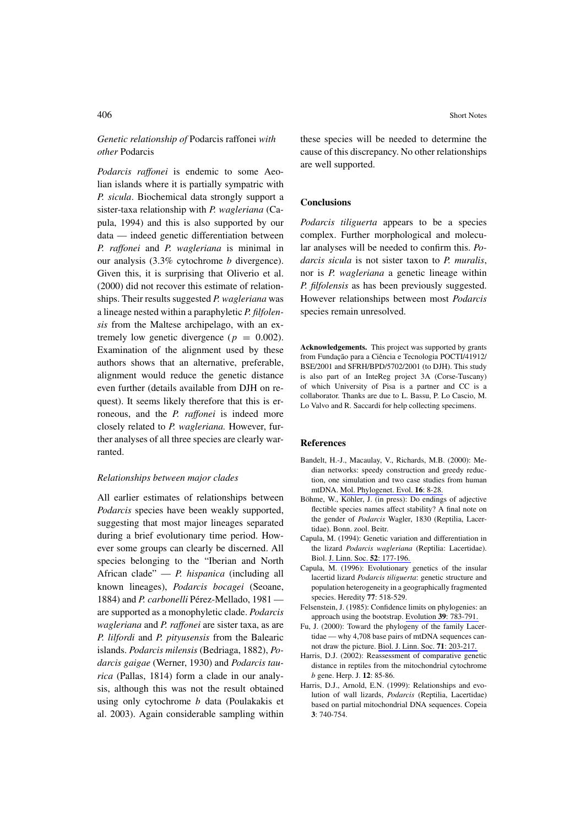# Genetic relationship of Podarcis raffonei with other Podarcis

Podarcis raffonei is endemic to some Aeolian islands where it is partially sympatric with P. sicula. Biochemical data strongly support a sister-taxa relationship with P. wagleriana (Capula, 1994) and this is also supported by our data — indeed genetic differentiation between P. raffonei and P. wagleriana is minimal in our analysis  $(3.3\%$  cytochrome *b* divergence). Given this, it is surprising that Oliverio et al. (2000) did not recover this estimate of relationships. Their results suggested P. wagleriana was a lineage nested within a paraphyletic P. filfolensis from the Maltese archipelago, with an extremely low genetic divergence ( $p = 0.002$ ). Examination of the alignment used by these authors shows that an alternative, preferable, alignment would reduce the genetic distance even further (details available from DJH on request). It seems likely therefore that this is erroneous, and the *P. raffonei* is indeed more closely related to P. wagleriana. However, further analyses of all three species are clearly warranted.

## Relationships between major clades

All earlier estimates of relationships between Podarcis species have been weakly supported, suggesting that most major lineages separated during a brief evolutionary time period. However some groups can clearly be discerned. All species belonging to the "Iberian and North African clade"  $- P$ . hispanica (including all known lineages), Podarcis bocagei (Seoane, 1884) and P. carbonelli Pérez-Mellado, 1981 are supported as a monophyletic clade. Podarcis wagleriana and P. raffonei are sister taxa, as are P. lilfordi and P. pityusensis from the Balearic islands. Podarcis milensis (Bedriaga, 1882), Podarcis gaigae (Werner, 1930) and Podarcis taurica (Pallas, 1814) form a clade in our analysis, although this was not the result obtained using only cytochrome b data (Poulakakis et al. 2003). Again considerable sampling within

these species will be needed to determine the cause of this discrepancy. No other relationships are well supported.

# **Conclusions**

*Podarcis tiliguerta* appears to be a species complex. Further morphological and molecular analyses will be needed to confirm this. Podarcis sicula is not sister taxon to P. muralis, nor is *P. wagleriana* a genetic lineage within P. filfolensis as has been previously suggested. However relationships between most Podarcis species remain unresolved.

Acknowledgements. This project was supported by grants from Fundação para a Ciência e Tecnologia POCTI/41912/ BSE/2001 and SFRH/BPD/5702/2001 (to DJH). This study is also part of an InteReg project 3A (Corse-Tuscany) of which University of Pisa is a partner and CC is a collaborator. Thanks are due to L. Bassu, P. Lo Cascio, M. Lo Valvo and R. Saccardi for help collecting specimens.

## **References**

- Bandelt, H.-J., Macaulay, V., Richards, M.B. (2000): Median networks: speedy construction and greedy reduction, one simulation and two case studies from human mtDNA. Mol. Phylogenet. Evol. 16: 8-28.
- Böhme, W., Köhler, J. (in press): Do endings of adjective flectible species names affect stability? A final note on the gender of Podarcis Wagler, 1830 (Reptilia, Lacertidae). Bonn. zool. Beitr.
- Capula, M. (1994): Genetic variation and differentiation in the lizard Podarcis wagleriana (Reptilia: Lacertidae). Biol. J. Linn. Soc. 52: 177-196.
- Capula, M. (1996): Evolutionary genetics of the insular lacertid lizard Podarcis tiliguerta: genetic structure and population heterogeneity in a geographically fragmented species. Heredity 77: 518-529.
- Felsenstein, J. (1985): Confidence limits on phylogenies: an approach using the bootstrap. Evolution 39: 783-791.
- Fu, J. (2000): Toward the phylogeny of the family Lacertidae — why 4,708 base pairs of mtDNA sequences cannot draw the picture. Biol. J. Linn. Soc. 71: 203-217.
- Harris, D.J. (2002): Reassessment of comparative genetic distance in reptiles from the mitochondrial cytochrome b gene. Herp. J. 12: 85-86.
- Harris, D.J., Arnold, E.N. (1999): Relationships and evolution of wall lizards, *Podarcis* (Reptilia, Lacertidae) based on partial mitochondrial DNA sequences. Copeia 3:740-754.